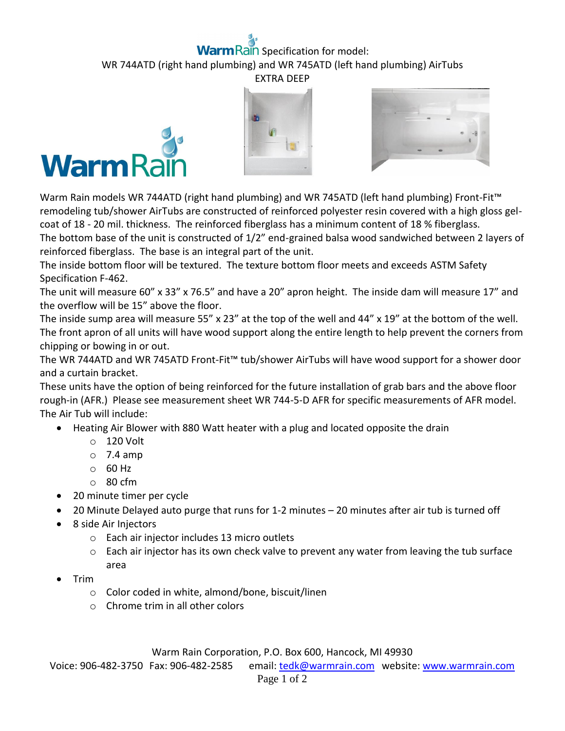## **Rain** Specification for model: WR 744ATD (right hand plumbing) and WR 745ATD (left hand plumbing) AirTubs EXTRA DEEP







Warm Rain models WR 744ATD (right hand plumbing) and WR 745ATD (left hand plumbing) Front-Fit™ remodeling tub/shower AirTubs are constructed of reinforced polyester resin covered with a high gloss gelcoat of 18 - 20 mil. thickness. The reinforced fiberglass has a minimum content of 18 % fiberglass.

The bottom base of the unit is constructed of 1/2" end-grained balsa wood sandwiched between 2 layers of reinforced fiberglass. The base is an integral part of the unit.

The inside bottom floor will be textured. The texture bottom floor meets and exceeds ASTM Safety Specification F-462.

The unit will measure 60" x 33" x 76.5" and have a 20" apron height. The inside dam will measure 17" and the overflow will be 15" above the floor.

The inside sump area will measure 55" x 23" at the top of the well and 44" x 19" at the bottom of the well. The front apron of all units will have wood support along the entire length to help prevent the corners from chipping or bowing in or out.

The WR 744ATD and WR 745ATD Front-Fit™ tub/shower AirTubs will have wood support for a shower door and a curtain bracket.

These units have the option of being reinforced for the future installation of grab bars and the above floor rough-in (AFR.) Please see measurement sheet WR 744-5-D AFR for specific measurements of AFR model. The Air Tub will include:

- Heating Air Blower with 880 Watt heater with a plug and located opposite the drain
	- o 120 Volt
	- $\circ$  7.4 amp
	- o 60 Hz
	- o 80 cfm
- 20 minute timer per cycle
- 20 Minute Delayed auto purge that runs for 1-2 minutes 20 minutes after air tub is turned off
- 8 side Air Injectors
	- o Each air injector includes 13 micro outlets
	- $\circ$  Each air injector has its own check valve to prevent any water from leaving the tub surface area
- Trim
	- o Color coded in white, almond/bone, biscuit/linen
	- o Chrome trim in all other colors

Warm Rain Corporation, P.O. Box 600, Hancock, MI 49930

Voice: 906-482-3750 Fax: 906-482-2585 email[: tedk@warmrain.com](mailto:tedk@warmrain.com) website: [www.warmrain.com](http://www.warmrain.com/)